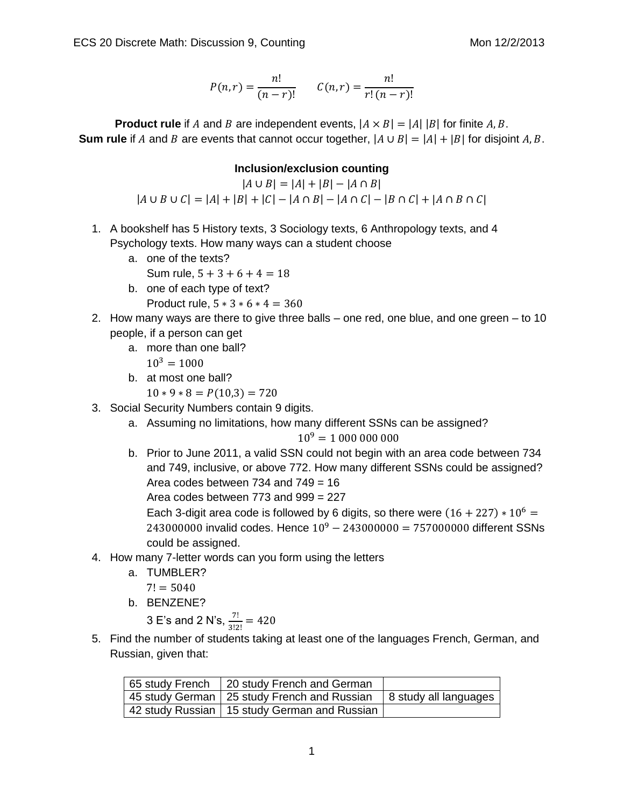$$
P(n,r) = \frac{n!}{(n-r)!} \qquad C(n,r) = \frac{n!}{r!(n-r)!}
$$

**Product rule** if A and B are independent events,  $|A \times B| = |A| |B|$  for finite A, B. **Sum rule** if A and B are events that cannot occur together,  $|A \cup B| = |A| + |B|$  for disjoint A, B.

## **Inclusion/exclusion counting**

 $|A \cup B| = |A| + |B| - |A \cap B|$  $|A \cup B \cup C| = |A| + |B| + |C| - |A \cap B| - |A \cap C| - |B \cap C| + |A \cap B \cap C|$ 

- 1. A bookshelf has 5 History texts, 3 Sociology texts, 6 Anthropology texts, and 4 Psychology texts. How many ways can a student choose
	- a. one of the texts?
		- Sum rule,  $5 + 3 + 6 + 4 = 18$
	- b. one of each type of text?
		- Product rule,  $5 * 3 * 6 * 4 = 360$
- 2. How many ways are there to give three balls one red, one blue, and one green to 10 people, if a person can get
	- a. more than one ball?
		- $10^3 = 1000$
	- b. at most one ball?
		- $10 * 9 * 8 = P(10,3) = 720$
- 3. Social Security Numbers contain 9 digits.
	- a. Assuming no limitations, how many different SSNs can be assigned?

 $10^9 = 10000000000$ 

b. Prior to June 2011, a valid SSN could not begin with an area code between 734 and 749, inclusive, or above 772. How many different SSNs could be assigned? Area codes between 734 and 749 = 16 Area codes between 773 and 999 = 227

Each 3-digit area code is followed by 6 digits, so there were  $(16 + 227) * 10^6 =$ 243000000 invalid codes. Hence  $10^9 - 243000000 = 757000000$  different SSNs could be assigned.

- 4. How many 7-letter words can you form using the letters
	- a. TUMBLER?
		- $7! = 5040$
	- b. BENZENE?

3 E's and 2 N's, 
$$
\frac{7!}{3!2!}
$$
 = 420

5. Find the number of students taking at least one of the languages French, German, and Russian, given that:

| 65 study French   20 study French and German                          |  |
|-----------------------------------------------------------------------|--|
| 45 study German   25 study French and Russian   8 study all languages |  |
| 42 study Russian   15 study German and Russian                        |  |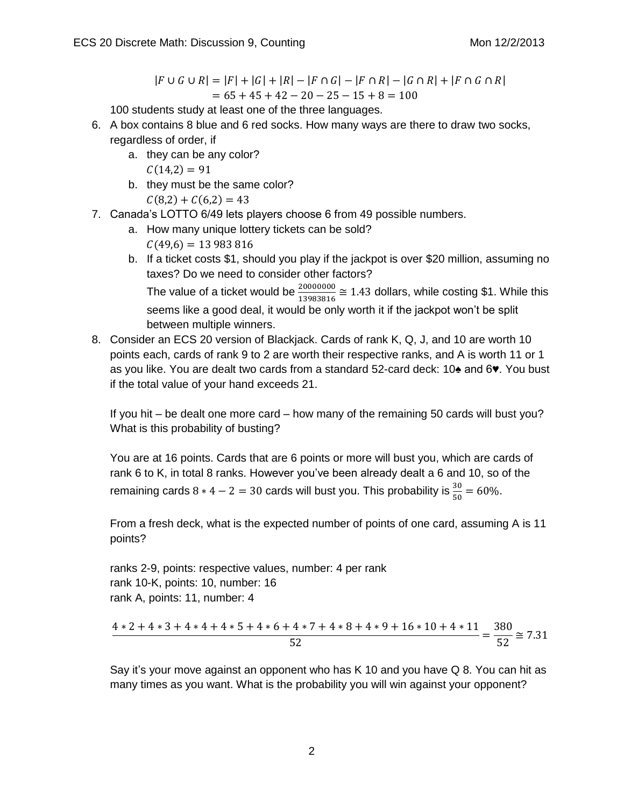$$
|F \cup G \cup R| = |F| + |G| + |R| - |F \cap G| - |F \cap R| - |G \cap R| + |F \cap G \cap R|
$$
  
= 65 + 45 + 42 - 20 - 25 - 15 + 8 = 100

100 students study at least one of the three languages.

- 6. A box contains 8 blue and 6 red socks. How many ways are there to draw two socks, regardless of order, if
	- a. they can be any color?  $C(14,2) = 91$
	- b. they must be the same color?  $C(8,2) + C(6,2) = 43$
- 7. Canada's LOTTO 6/49 lets players choose 6 from 49 possible numbers.
	- a. How many unique lottery tickets can be sold?

 $C(49,6) = 13983816$ 

b. If a ticket costs \$1, should you play if the jackpot is over \$20 million, assuming no taxes? Do we need to consider other factors?

The value of a ticket would be  $\frac{20000000}{13983816}$   $\approx$  1.43 dollars, while costing \$1. While this seems like a good deal, it would be only worth it if the jackpot won't be split between multiple winners.

8. Consider an ECS 20 version of Blackjack. Cards of rank K, Q, J, and 10 are worth 10 points each, cards of rank 9 to 2 are worth their respective ranks, and A is worth 11 or 1 as you like. You are dealt two cards from a standard 52-card deck: 10♠ and 6♥. You bust if the total value of your hand exceeds 21.

If you hit – be dealt one more card – how many of the remaining 50 cards will bust you? What is this probability of busting?

You are at 16 points. Cards that are 6 points or more will bust you, which are cards of rank 6 to K, in total 8 ranks. However you've been already dealt a 6 and 10, so of the remaining cards  $8 * 4 - 2 = 30$  cards will bust you. This probability is  $\frac{50}{50} = 60\%$ .

From a fresh deck, what is the expected number of points of one card, assuming A is 11 points?

ranks 2-9, points: respective values, number: 4 per rank rank 10-K, points: 10, number: 16 rank A, points: 11, number: 4

$$
\frac{4*2+4*3+4*4+4*5+4*6+4*7+4*8+4*9+16*10+4*11}{52} = \frac{380}{52} \cong 7.31
$$

Say it's your move against an opponent who has K 10 and you have Q 8. You can hit as many times as you want. What is the probability you will win against your opponent?